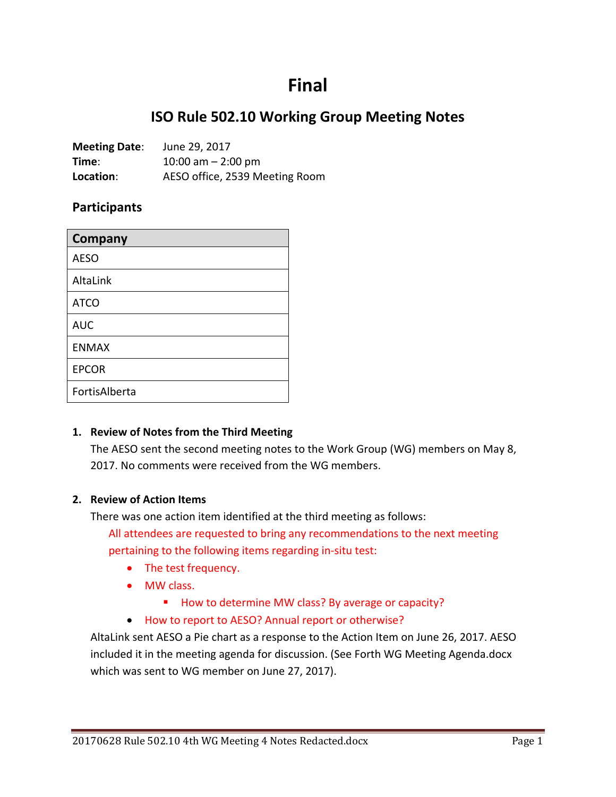# **Final**

## **ISO Rule 502.10 Working Group Meeting Notes**

| <b>Meeting Date:</b> | June 29, 2017                  |
|----------------------|--------------------------------|
| Time:                | 10:00 am $-$ 2:00 pm           |
| Location:            | AESO office, 2539 Meeting Room |

#### **Participants**

| Company       |
|---------------|
| <b>AESO</b>   |
| AltaLink      |
| <b>ATCO</b>   |
| <b>AUC</b>    |
| <b>ENMAX</b>  |
| <b>EPCOR</b>  |
| FortisAlberta |

#### **1. Review of Notes from the Third Meeting**

The AESO sent the second meeting notes to the Work Group (WG) members on May 8, 2017. No comments were received from the WG members.

#### **2. Review of Action Items**

There was one action item identified at the third meeting as follows:

All attendees are requested to bring any recommendations to the next meeting pertaining to the following items regarding in-situ test:

- The test frequency.
- MW class.
	- How to determine MW class? By average or capacity?
- How to report to AESO? Annual report or otherwise?

AltaLink sent AESO a Pie chart as a response to the Action Item on June 26, 2017. AESO included it in the meeting agenda for discussion. (See Forth WG Meeting Agenda.docx which was sent to WG member on June 27, 2017).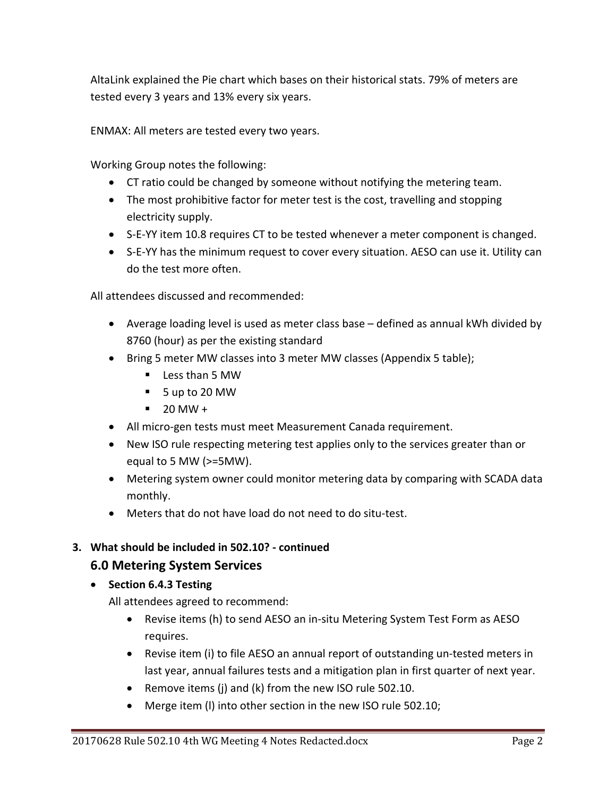AltaLink explained the Pie chart which bases on their historical stats. 79% of meters are tested every 3 years and 13% every six years.

ENMAX: All meters are tested every two years.

Working Group notes the following:

- CT ratio could be changed by someone without notifying the metering team.
- The most prohibitive factor for meter test is the cost, travelling and stopping electricity supply.
- S-E-YY item 10.8 requires CT to be tested whenever a meter component is changed.
- S-E-YY has the minimum request to cover every situation. AESO can use it. Utility can do the test more often.

All attendees discussed and recommended:

- Average loading level is used as meter class base defined as annual kWh divided by 8760 (hour) as per the existing standard
- Bring 5 meter MW classes into 3 meter MW classes (Appendix 5 table);
	- Less than 5 MW
	- 5 up to 20 MW
	- $-20$  MW +
- All micro-gen tests must meet Measurement Canada requirement.
- New ISO rule respecting metering test applies only to the services greater than or equal to 5 MW (>=5MW).
- Metering system owner could monitor metering data by comparing with SCADA data monthly.
- Meters that do not have load do not need to do situ-test.

#### **3. What should be included in 502.10? - continued**

### **6.0 Metering System Services**

#### • **Section 6.4.3 Testing**

All attendees agreed to recommend:

- Revise items (h) to send AESO an in-situ Metering System Test Form as AESO requires.
- Revise item (i) to file AESO an annual report of outstanding un-tested meters in last year, annual failures tests and a mitigation plan in first quarter of next year.
- Remove items (j) and (k) from the new ISO rule 502.10.
- Merge item (l) into other section in the new ISO rule 502.10;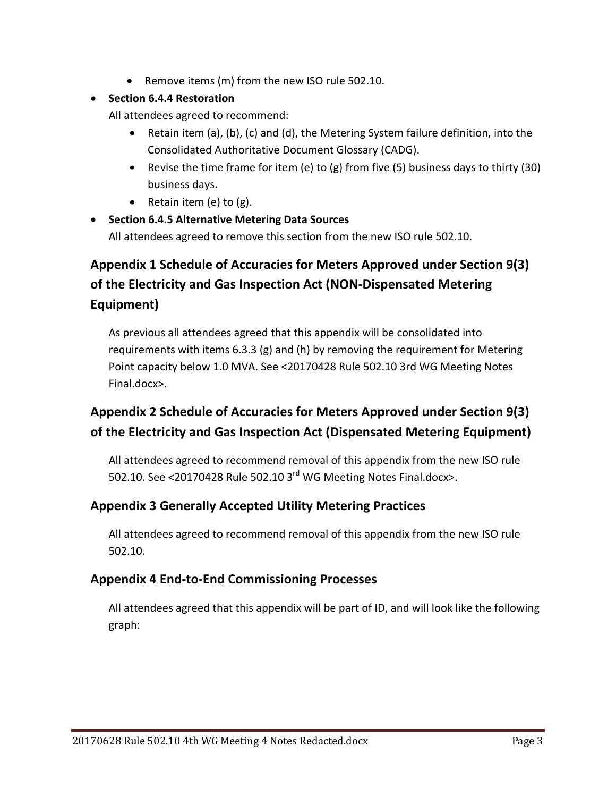• Remove items (m) from the new ISO rule 502.10.

#### • **Section 6.4.4 Restoration**

All attendees agreed to recommend:

- Retain item (a), (b), (c) and (d), the Metering System failure definition, into the Consolidated Authoritative Document Glossary (CADG).
- Revise the time frame for item (e) to (g) from five (5) business days to thirty (30) business days.
- Retain item (e) to (g).
- **Section 6.4.5 Alternative Metering Data Sources** All attendees agreed to remove this section from the new ISO rule 502.10.

## **Appendix 1 Schedule of Accuracies for Meters Approved under Section 9(3) of the Electricity and Gas Inspection Act (NON-Dispensated Metering Equipment)**

As previous all attendees agreed that this appendix will be consolidated into requirements with items 6.3.3 (g) and (h) by removing the requirement for Metering Point capacity below 1.0 MVA. See <20170428 Rule 502.10 3rd WG Meeting Notes Final.docx>.

## **Appendix 2 Schedule of Accuracies for Meters Approved under Section 9(3) of the Electricity and Gas Inspection Act (Dispensated Metering Equipment)**

All attendees agreed to recommend removal of this appendix from the new ISO rule 502.10. See <20170428 Rule 502.10 3<sup>rd</sup> WG Meeting Notes Final.docx>.

## **Appendix 3 Generally Accepted Utility Metering Practices**

All attendees agreed to recommend removal of this appendix from the new ISO rule 502.10.

## **Appendix 4 End-to-End Commissioning Processes**

All attendees agreed that this appendix will be part of ID, and will look like the following graph: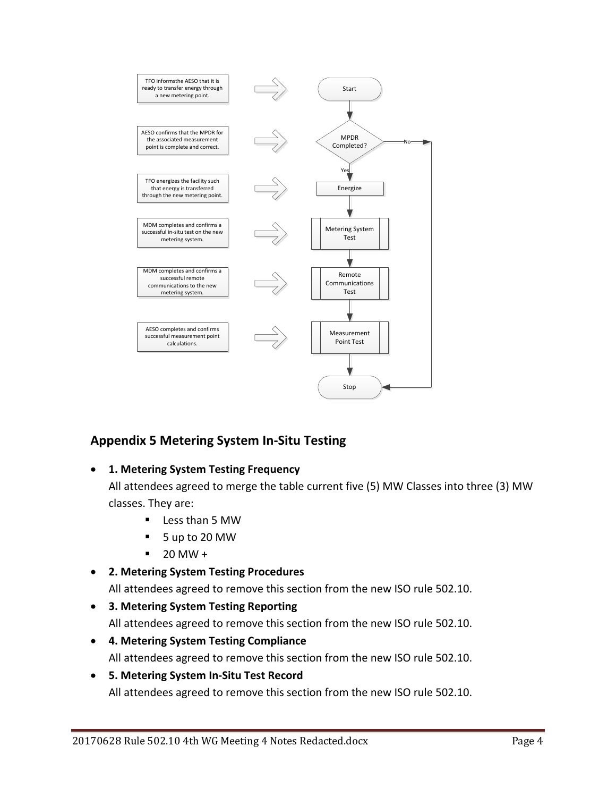

## **Appendix 5 Metering System In-Situ Testing**

#### • **1. Metering System Testing Frequency**

All attendees agreed to merge the table current five (5) MW Classes into three (3) MW classes. They are:

- **Less than 5 MW**
- 5 up to 20 MW
- $-20$  MW +
- **2. Metering System Testing Procedures**

All attendees agreed to remove this section from the new ISO rule 502.10.

• **3. Metering System Testing Reporting**

All attendees agreed to remove this section from the new ISO rule 502.10.

- **4. Metering System Testing Compliance** All attendees agreed to remove this section from the new ISO rule 502.10.
- **5. Metering System In-Situ Test Record** All attendees agreed to remove this section from the new ISO rule 502.10.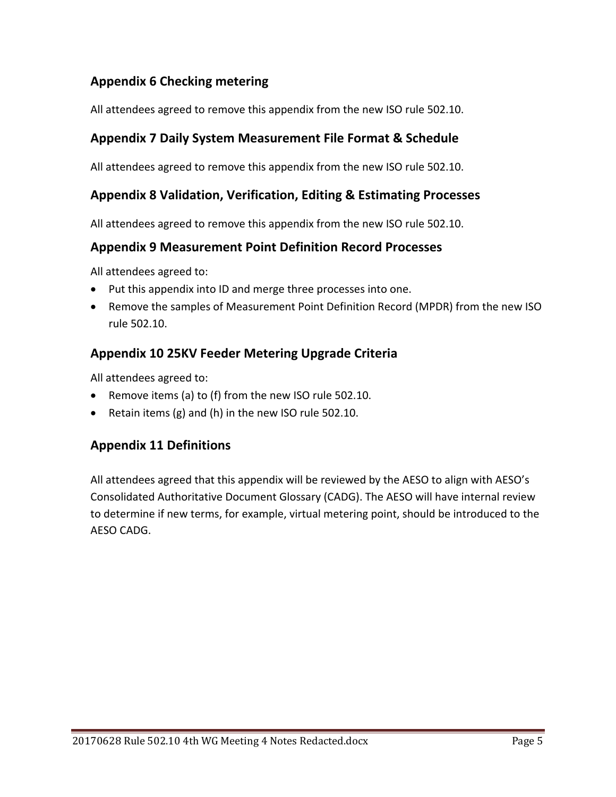## **Appendix 6 Checking metering**

All attendees agreed to remove this appendix from the new ISO rule 502.10.

## **Appendix 7 Daily System Measurement File Format & Schedule**

All attendees agreed to remove this appendix from the new ISO rule 502.10.

## **Appendix 8 Validation, Verification, Editing & Estimating Processes**

All attendees agreed to remove this appendix from the new ISO rule 502.10.

#### **Appendix 9 Measurement Point Definition Record Processes**

All attendees agreed to:

- Put this appendix into ID and merge three processes into one.
- Remove the samples of Measurement Point Definition Record (MPDR) from the new ISO rule 502.10.

## **Appendix 10 25KV Feeder Metering Upgrade Criteria**

All attendees agreed to:

- Remove items (a) to (f) from the new ISO rule 502.10.
- Retain items (g) and (h) in the new ISO rule 502.10.

### **Appendix 11 Definitions**

All attendees agreed that this appendix will be reviewed by the AESO to align with AESO's Consolidated Authoritative Document Glossary (CADG). The AESO will have internal review to determine if new terms, for example, virtual metering point, should be introduced to the AESO CADG.